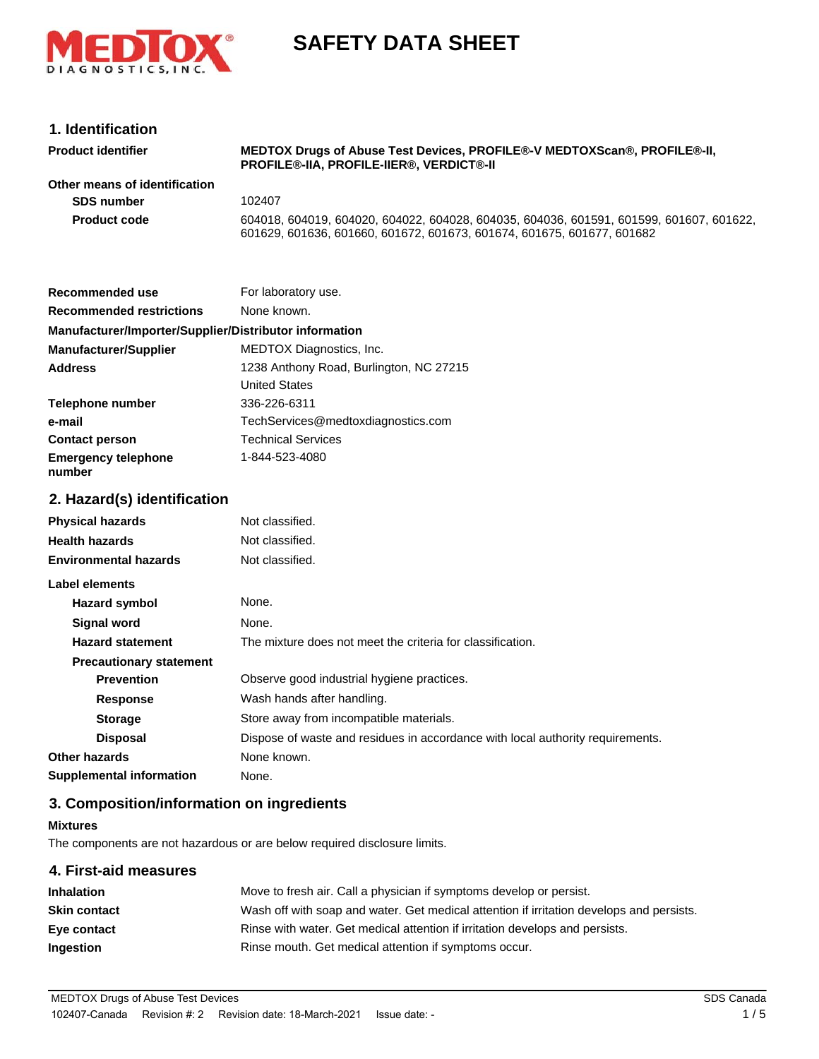

# **SAFETY DATA SHEET**

## **1. Identification**

| <b>Product identifier</b>     | MEDTOX Drugs of Abuse Test Devices, PROFILE®-V MEDTOXScan®, PROFILE®-II,<br><b>PROFILE®-IIA. PROFILE-IIER®. VERDICT®-II</b>                                       |
|-------------------------------|-------------------------------------------------------------------------------------------------------------------------------------------------------------------|
| Other means of identification |                                                                                                                                                                   |
| <b>SDS number</b>             | 102407                                                                                                                                                            |
| <b>Product code</b>           | 604018, 604019, 604020, 604022, 604028, 604035, 604036, 601591, 601599, 601607, 601622,<br>601629, 601636, 601660, 601672, 601673, 601674, 601675, 601677, 601682 |

| Recommended use                                        | For laboratory use.                     |
|--------------------------------------------------------|-----------------------------------------|
| <b>Recommended restrictions</b>                        | None known.                             |
| Manufacturer/Importer/Supplier/Distributor information |                                         |
| <b>Manufacturer/Supplier</b>                           | <b>MEDTOX Diagnostics, Inc.</b>         |
| <b>Address</b>                                         | 1238 Anthony Road, Burlington, NC 27215 |
|                                                        | <b>United States</b>                    |
| Telephone number                                       | 336-226-6311                            |
| e-mail                                                 | TechServices@medtoxdiagnostics.com      |
| <b>Contact person</b>                                  | <b>Technical Services</b>               |
| <b>Emergency telephone</b><br>number                   | 1-844-523-4080                          |

## **2. Hazard(s) identification**

| <b>Physical hazards</b>         | Not classified.                                                                |
|---------------------------------|--------------------------------------------------------------------------------|
| <b>Health hazards</b>           | Not classified.                                                                |
| <b>Environmental hazards</b>    | Not classified.                                                                |
| Label elements                  |                                                                                |
| Hazard symbol                   | None.                                                                          |
| <b>Signal word</b>              | None.                                                                          |
| <b>Hazard statement</b>         | The mixture does not meet the criteria for classification.                     |
| <b>Precautionary statement</b>  |                                                                                |
| <b>Prevention</b>               | Observe good industrial hygiene practices.                                     |
| <b>Response</b>                 | Wash hands after handling.                                                     |
| <b>Storage</b>                  | Store away from incompatible materials.                                        |
| <b>Disposal</b>                 | Dispose of waste and residues in accordance with local authority requirements. |
| Other hazards                   | None known.                                                                    |
| <b>Supplemental information</b> | None.                                                                          |

## **3. Composition/information on ingredients**

#### **Mixtures**

The components are not hazardous or are below required disclosure limits.

# **4. First-aid measures**

| <b>Inhalation</b>   | Move to fresh air. Call a physician if symptoms develop or persist.                      |
|---------------------|------------------------------------------------------------------------------------------|
| <b>Skin contact</b> | Wash off with soap and water. Get medical attention if irritation develops and persists. |
| Eye contact         | Rinse with water. Get medical attention if irritation develops and persists.             |
| <b>Ingestion</b>    | Rinse mouth. Get medical attention if symptoms occur.                                    |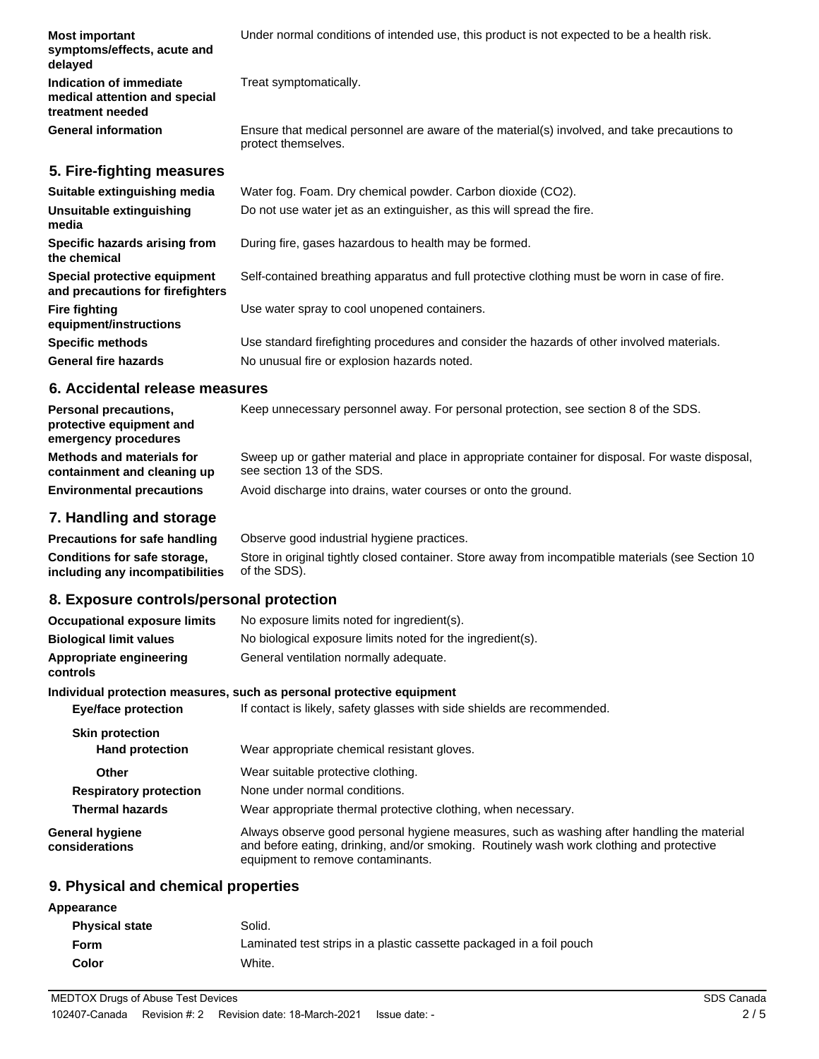| <b>Most important</b><br>symptoms/effects, acute and<br>delayed              | Under normal conditions of intended use, this product is not expected to be a health risk.                          |
|------------------------------------------------------------------------------|---------------------------------------------------------------------------------------------------------------------|
| Indication of immediate<br>medical attention and special<br>treatment needed | Treat symptomatically.                                                                                              |
| <b>General information</b>                                                   | Ensure that medical personnel are aware of the material(s) involved, and take precautions to<br>protect themselves. |
| 5. Fire-fighting measures                                                    |                                                                                                                     |
| Suitable extinguishing media                                                 | Water fog. Foam. Dry chemical powder. Carbon dioxide (CO2).                                                         |
| Unsuitable extinguishing<br>media                                            | Do not use water jet as an extinguisher, as this will spread the fire.                                              |
| Specific hazards arising from<br>the chemical                                | During fire, gases hazardous to health may be formed.                                                               |
| Special protective equipment<br>and precautions for firefighters             | Self-contained breathing apparatus and full protective clothing must be worn in case of fire.                       |
| <b>Fire fighting</b><br>equipment/instructions                               | Use water spray to cool unopened containers.                                                                        |
| <b>Specific methods</b>                                                      | Use standard firefighting procedures and consider the hazards of other involved materials.                          |
| <b>General fire hazards</b>                                                  | No unusual fire or explosion hazards noted.                                                                         |

#### **6. Accidental release measures**

| <b>Personal precautions,</b><br>protective equipment and<br>emergency procedures | Keep unnecessary personnel away. For personal protection, see section 8 of the SDS.                                            |
|----------------------------------------------------------------------------------|--------------------------------------------------------------------------------------------------------------------------------|
| Methods and materials for<br>containment and cleaning up                         | Sweep up or gather material and place in appropriate container for disposal. For waste disposal,<br>see section 13 of the SDS. |
| <b>Environmental precautions</b>                                                 | Avoid discharge into drains, water courses or onto the ground.                                                                 |

#### **7. Handling and storage**

**Precautions for safe handling** Observe good industrial hygiene practices. Store in original tightly closed container. Store away from incompatible materials (see Section 10 of the SDS). **Conditions for safe storage, including any incompatibilities**

#### **8. Exposure controls/personal protection**

| <b>Occupational exposure limits</b>      | No exposure limits noted for ingredient(s).                                                                                                                                                                                 |
|------------------------------------------|-----------------------------------------------------------------------------------------------------------------------------------------------------------------------------------------------------------------------------|
| <b>Biological limit values</b>           | No biological exposure limits noted for the ingredient(s).                                                                                                                                                                  |
| Appropriate engineering<br>controls      | General ventilation normally adequate.                                                                                                                                                                                      |
|                                          | Individual protection measures, such as personal protective equipment                                                                                                                                                       |
| <b>Eye/face protection</b>               | If contact is likely, safety glasses with side shields are recommended.                                                                                                                                                     |
| <b>Skin protection</b>                   |                                                                                                                                                                                                                             |
| <b>Hand protection</b>                   | Wear appropriate chemical resistant gloves.                                                                                                                                                                                 |
| <b>Other</b>                             | Wear suitable protective clothing.                                                                                                                                                                                          |
| <b>Respiratory protection</b>            | None under normal conditions.                                                                                                                                                                                               |
| <b>Thermal hazards</b>                   | Wear appropriate thermal protective clothing, when necessary.                                                                                                                                                               |
| <b>General hygiene</b><br>considerations | Always observe good personal hygiene measures, such as washing after handling the material<br>and before eating, drinking, and/or smoking. Routinely wash work clothing and protective<br>equipment to remove contaminants. |

### **9. Physical and chemical properties**

| Appearance            |                                                                      |
|-----------------------|----------------------------------------------------------------------|
| <b>Physical state</b> | Solid.                                                               |
| Form                  | Laminated test strips in a plastic cassette packaged in a foil pouch |
| Color                 | White.                                                               |
|                       |                                                                      |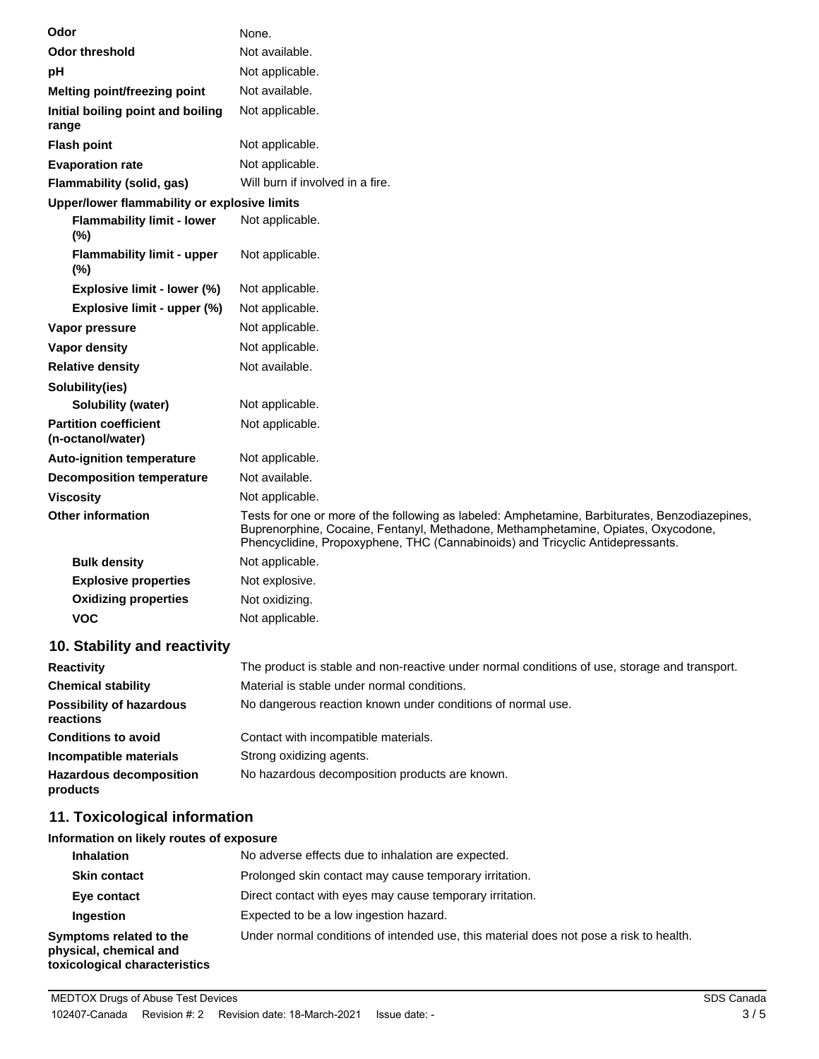| Odor                                              | None.                                                                                                                                                                                                                                                                 |
|---------------------------------------------------|-----------------------------------------------------------------------------------------------------------------------------------------------------------------------------------------------------------------------------------------------------------------------|
| <b>Odor threshold</b>                             | Not available.                                                                                                                                                                                                                                                        |
| рH                                                | Not applicable.                                                                                                                                                                                                                                                       |
| Melting point/freezing point                      | Not available.                                                                                                                                                                                                                                                        |
| Initial boiling point and boiling<br>range        | Not applicable.                                                                                                                                                                                                                                                       |
| <b>Flash point</b>                                | Not applicable.                                                                                                                                                                                                                                                       |
| <b>Evaporation rate</b>                           | Not applicable.                                                                                                                                                                                                                                                       |
| Flammability (solid, gas)                         | Will burn if involved in a fire.                                                                                                                                                                                                                                      |
| Upper/lower flammability or explosive limits      |                                                                                                                                                                                                                                                                       |
| <b>Flammability limit - lower</b><br>(%)          | Not applicable.                                                                                                                                                                                                                                                       |
| <b>Flammability limit - upper</b><br>(%)          | Not applicable.                                                                                                                                                                                                                                                       |
| Explosive limit - lower (%)                       | Not applicable.                                                                                                                                                                                                                                                       |
| Explosive limit - upper (%)                       | Not applicable.                                                                                                                                                                                                                                                       |
| Vapor pressure                                    | Not applicable.                                                                                                                                                                                                                                                       |
| <b>Vapor density</b>                              | Not applicable.                                                                                                                                                                                                                                                       |
| <b>Relative density</b>                           | Not available.                                                                                                                                                                                                                                                        |
| Solubility(ies)                                   |                                                                                                                                                                                                                                                                       |
| <b>Solubility (water)</b>                         | Not applicable.                                                                                                                                                                                                                                                       |
| <b>Partition coefficient</b><br>(n-octanol/water) | Not applicable.                                                                                                                                                                                                                                                       |
| <b>Auto-ignition temperature</b>                  | Not applicable.                                                                                                                                                                                                                                                       |
| <b>Decomposition temperature</b>                  | Not available.                                                                                                                                                                                                                                                        |
| <b>Viscosity</b>                                  | Not applicable.                                                                                                                                                                                                                                                       |
| <b>Other information</b>                          | Tests for one or more of the following as labeled: Amphetamine, Barbiturates, Benzodiazepines,<br>Buprenorphine, Cocaine, Fentanyl, Methadone, Methamphetamine, Opiates, Oxycodone,<br>Phencyclidine, Propoxyphene, THC (Cannabinoids) and Tricyclic Antidepressants. |
| <b>Bulk density</b>                               | Not applicable.                                                                                                                                                                                                                                                       |
| <b>Explosive properties</b>                       | Not explosive.                                                                                                                                                                                                                                                        |
| <b>Oxidizing properties</b>                       | Not oxidizing.                                                                                                                                                                                                                                                        |
| <b>VOC</b>                                        | Not applicable.                                                                                                                                                                                                                                                       |

## **10. Stability and reactivity**

| <b>Reactivity</b>                            | The product is stable and non-reactive under normal conditions of use, storage and transport. |
|----------------------------------------------|-----------------------------------------------------------------------------------------------|
| <b>Chemical stability</b>                    | Material is stable under normal conditions.                                                   |
| <b>Possibility of hazardous</b><br>reactions | No dangerous reaction known under conditions of normal use.                                   |
| <b>Conditions to avoid</b>                   | Contact with incompatible materials.                                                          |
| Incompatible materials                       | Strong oxidizing agents.                                                                      |
| <b>Hazardous decomposition</b><br>products   | No hazardous decomposition products are known.                                                |

## **11. Toxicological information**

### **Information on likely routes of exposure**

| <b>Inhalation</b>                                                                  | No adverse effects due to inhalation are expected.                                     |
|------------------------------------------------------------------------------------|----------------------------------------------------------------------------------------|
| <b>Skin contact</b>                                                                | Prolonged skin contact may cause temporary irritation.                                 |
| Eye contact                                                                        | Direct contact with eyes may cause temporary irritation.                               |
| Ingestion                                                                          | Expected to be a low ingestion hazard.                                                 |
| Symptoms related to the<br>physical, chemical and<br>toxicological characteristics | Under normal conditions of intended use, this material does not pose a risk to health. |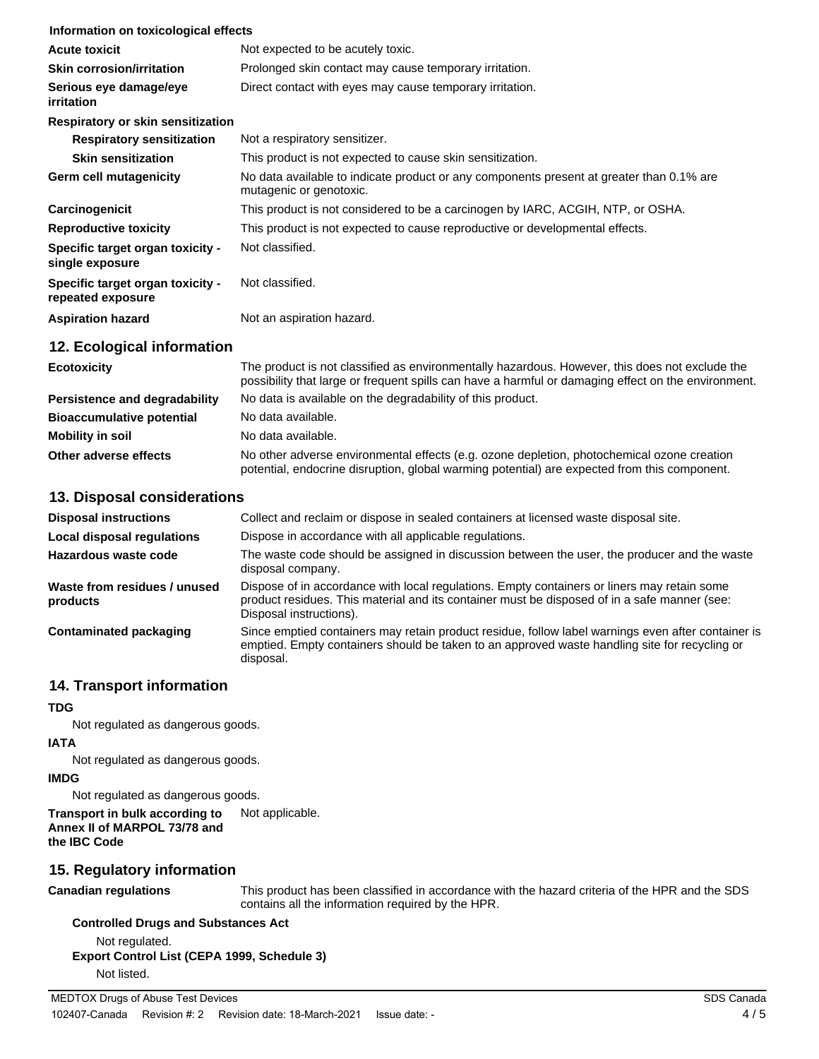| Information on toxicological effects                  |                                                                                                                     |
|-------------------------------------------------------|---------------------------------------------------------------------------------------------------------------------|
| <b>Acute toxicit</b>                                  | Not expected to be acutely toxic.                                                                                   |
| <b>Skin corrosion/irritation</b>                      | Prolonged skin contact may cause temporary irritation.                                                              |
| Serious eye damage/eye<br><i>irritation</i>           | Direct contact with eyes may cause temporary irritation.                                                            |
| Respiratory or skin sensitization                     |                                                                                                                     |
| <b>Respiratory sensitization</b>                      | Not a respiratory sensitizer.                                                                                       |
| <b>Skin sensitization</b>                             | This product is not expected to cause skin sensitization.                                                           |
| <b>Germ cell mutagenicity</b>                         | No data available to indicate product or any components present at greater than 0.1% are<br>mutagenic or genotoxic. |
| Carcinogenicit                                        | This product is not considered to be a carcinogen by IARC, ACGIH, NTP, or OSHA.                                     |
| <b>Reproductive toxicity</b>                          | This product is not expected to cause reproductive or developmental effects.                                        |
| Specific target organ toxicity -<br>single exposure   | Not classified.                                                                                                     |
| Specific target organ toxicity -<br>repeated exposure | Not classified.                                                                                                     |
| <b>Aspiration hazard</b>                              | Not an aspiration hazard.                                                                                           |
| 12. Ecological information                            |                                                                                                                     |

| <b>Ecotoxicity</b>               | The product is not classified as environmentally hazardous. However, this does not exclude the<br>possibility that large or frequent spills can have a harmful or damaging effect on the environment. |  |
|----------------------------------|-------------------------------------------------------------------------------------------------------------------------------------------------------------------------------------------------------|--|
| Persistence and degradability    | No data is available on the degradability of this product.                                                                                                                                            |  |
| <b>Bioaccumulative potential</b> | No data available.                                                                                                                                                                                    |  |
| Mobility in soil                 | No data available.                                                                                                                                                                                    |  |
| Other adverse effects            | No other adverse environmental effects (e.g. ozone depletion, photochemical ozone creation<br>potential, endocrine disruption, global warming potential) are expected from this component.            |  |

#### **13. Disposal considerations**

| <b>Disposal instructions</b>             | Collect and reclaim or dispose in sealed containers at licensed waste disposal site.                                                                                                                                   |
|------------------------------------------|------------------------------------------------------------------------------------------------------------------------------------------------------------------------------------------------------------------------|
| Local disposal regulations               | Dispose in accordance with all applicable regulations.                                                                                                                                                                 |
| Hazardous waste code                     | The waste code should be assigned in discussion between the user, the producer and the waste<br>disposal company.                                                                                                      |
| Waste from residues / unused<br>products | Dispose of in accordance with local regulations. Empty containers or liners may retain some<br>product residues. This material and its container must be disposed of in a safe manner (see:<br>Disposal instructions). |
| Contaminated packaging                   | Since emptied containers may retain product residue, follow label warnings even after container is<br>emptied. Empty containers should be taken to an approved waste handling site for recycling or<br>disposal.       |

### **14. Transport information**

## **TDG**

Not regulated as dangerous goods.

# **IATA**

Not regulated as dangerous goods.

### **IMDG**

Not regulated as dangerous goods.

#### **Transport in bulk according to** Not applicable. **Annex II of MARPOL 73/78 and the IBC Code**

## **15. Regulatory information**

## **Canadian regulations**

This product has been classified in accordance with the hazard criteria of the HPR and the SDS contains all the information required by the HPR.

## **Controlled Drugs and Substances Act**

Not regulated. **Export Control List (CEPA 1999, Schedule 3)** Not listed.